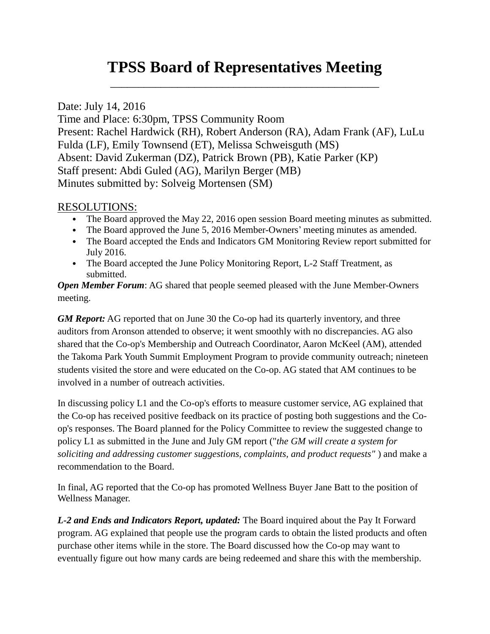## **TPSS Board of Representatives Meeting**

\_\_\_\_\_\_\_\_\_\_\_\_\_\_\_\_\_\_\_\_\_\_\_\_\_\_\_\_\_\_\_\_\_\_\_\_\_\_\_\_\_\_\_\_\_\_\_\_

Date: July 14, 2016

Time and Place: 6:30pm, TPSS Community Room Present: Rachel Hardwick (RH), Robert Anderson (RA), Adam Frank (AF), LuLu Fulda (LF), Emily Townsend (ET), Melissa Schweisguth (MS) Absent: David Zukerman (DZ), Patrick Brown (PB), Katie Parker (KP) Staff present: Abdi Guled (AG), Marilyn Berger (MB) Minutes submitted by: Solveig Mortensen (SM)

## RESOLUTIONS:

- The Board approved the May 22, 2016 open session Board meeting minutes as submitted.
- The Board approved the June 5, 2016 Member-Owners' meeting minutes as amended.
- The Board accepted the Ends and Indicators GM Monitoring Review report submitted for July 2016.
- The Board accepted the June Policy Monitoring Report, L-2 Staff Treatment, as submitted.

*Open Member Forum:* AG shared that people seemed pleased with the June Member-Owners meeting.

*GM Report:* AG reported that on June 30 the Co-op had its quarterly inventory, and three auditors from Aronson attended to observe; it went smoothly with no discrepancies. AG also shared that the Co-op's Membership and Outreach Coordinator, Aaron McKeel (AM), attended the Takoma Park Youth Summit Employment Program to provide community outreach; nineteen students visited the store and were educated on the Co-op. AG stated that AM continues to be involved in a number of outreach activities.

In discussing policy L1 and the Co-op's efforts to measure customer service, AG explained that the Co-op has received positive feedback on its practice of posting both suggestions and the Coop's responses. The Board planned for the Policy Committee to review the suggested change to policy L1 as submitted in the June and July GM report ("*the GM will create a system for soliciting and addressing customer suggestions, complaints, and product requests"* ) and make a recommendation to the Board.

In final, AG reported that the Co-op has promoted Wellness Buyer Jane Batt to the position of Wellness Manager.

*L-2 and Ends and Indicators Report, updated:* The Board inquired about the Pay It Forward program. AG explained that people use the program cards to obtain the listed products and often purchase other items while in the store. The Board discussed how the Co-op may want to eventually figure out how many cards are being redeemed and share this with the membership.